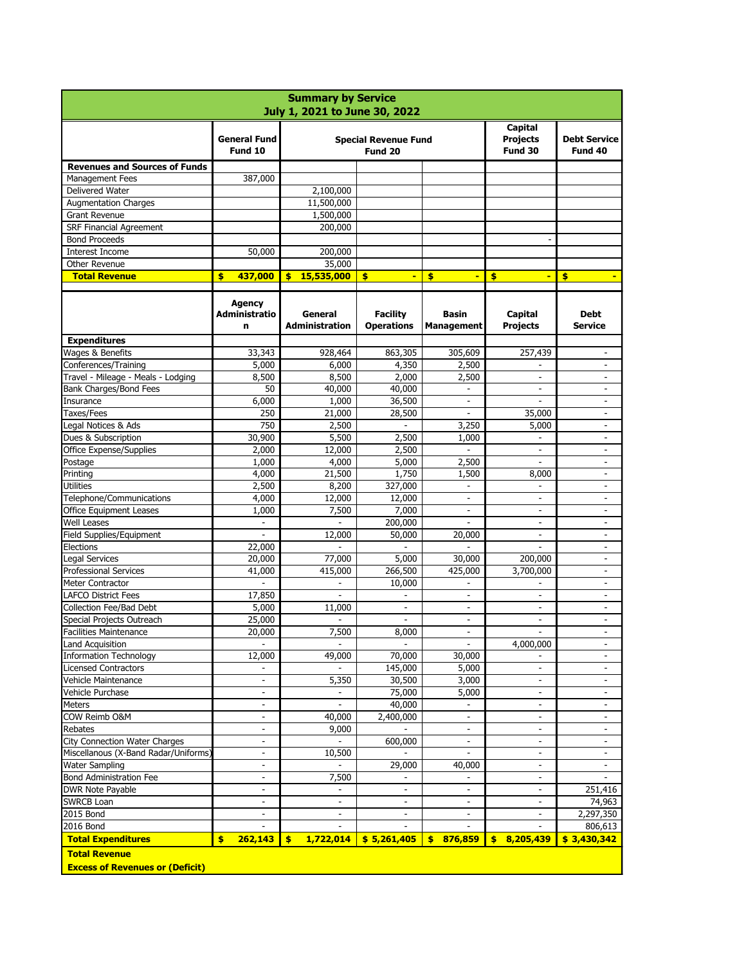| <b>Summary by Service</b><br>July 1, 2021 to June 30, 2022     |                                            |                                         |                                                      |                                            |                                              |                                |  |  |  |
|----------------------------------------------------------------|--------------------------------------------|-----------------------------------------|------------------------------------------------------|--------------------------------------------|----------------------------------------------|--------------------------------|--|--|--|
|                                                                | <b>General Fund</b><br>Fund 10             | <b>Special Revenue Fund</b><br>Fund 20  |                                                      |                                            | <b>Capital</b><br><b>Projects</b><br>Fund 30 | <b>Debt Service</b><br>Fund 40 |  |  |  |
| <b>Revenues and Sources of Funds</b>                           |                                            |                                         |                                                      |                                            |                                              |                                |  |  |  |
| Management Fees                                                | 387,000                                    |                                         |                                                      |                                            |                                              |                                |  |  |  |
| <b>Delivered Water</b>                                         |                                            | 2,100,000                               |                                                      |                                            |                                              |                                |  |  |  |
| <b>Augmentation Charges</b>                                    |                                            | 11,500,000                              |                                                      |                                            |                                              |                                |  |  |  |
| <b>Grant Revenue</b>                                           |                                            | 1,500,000                               |                                                      |                                            |                                              |                                |  |  |  |
| <b>SRF Financial Agreement</b>                                 |                                            | 200,000                                 |                                                      |                                            |                                              |                                |  |  |  |
| <b>Bond Proceeds</b>                                           |                                            |                                         |                                                      |                                            |                                              |                                |  |  |  |
| <b>Interest Income</b>                                         | 50,000                                     | 200,000                                 |                                                      |                                            |                                              |                                |  |  |  |
| Other Revenue                                                  |                                            | 35,000                                  |                                                      |                                            |                                              |                                |  |  |  |
| <b>Total Revenue</b>                                           | \$<br>437,000                              | 15,535,000<br>\$                        | \$                                                   | \$<br>$\blacksquare$                       | \$                                           | \$<br>$\blacksquare$           |  |  |  |
|                                                                | <b>Agency</b><br><b>Administratio</b><br>n | <b>General</b><br><b>Administration</b> | <b>Facility</b><br><b>Operations</b>                 | <b>Basin</b><br><b>Management</b>          | <b>Capital</b><br><b>Projects</b>            | <b>Debt</b><br><b>Service</b>  |  |  |  |
| <b>Expenditures</b>                                            |                                            |                                         |                                                      |                                            |                                              |                                |  |  |  |
| Wages & Benefits                                               | 33,343                                     | 928,464                                 | 863,305                                              | 305,609                                    | 257,439                                      | $\overline{\phantom{0}}$       |  |  |  |
| Conferences/Training                                           | 5,000                                      | 6,000                                   | 4,350                                                | 2,500                                      |                                              |                                |  |  |  |
| Travel - Mileage - Meals - Lodging                             | 8,500                                      | 8,500                                   | 2,000                                                | 2,500                                      |                                              | $\overline{\phantom{a}}$       |  |  |  |
| <b>Bank Charges/Bond Fees</b>                                  | 50                                         | 40,000                                  | 40,000                                               | $\overline{\phantom{0}}$                   | $\blacksquare$                               | $\overline{\phantom{a}}$       |  |  |  |
| Insurance                                                      | 6,000                                      | 1,000                                   | 36,500                                               | $\overline{\phantom{a}}$                   |                                              | $\overline{\phantom{a}}$       |  |  |  |
| Taxes/Fees                                                     | 250                                        | 21,000                                  | 28,500                                               |                                            | 35,000                                       | $\overline{\phantom{0}}$       |  |  |  |
| Legal Notices & Ads                                            | 750                                        | 2,500                                   |                                                      | 3,250                                      | 5,000                                        | $\overline{\phantom{a}}$       |  |  |  |
| Dues & Subscription                                            | 30,900                                     | 5,500                                   | 2,500                                                | 1,000                                      |                                              | $\blacksquare$                 |  |  |  |
| <b>Office Expense/Supplies</b>                                 | 2,000                                      | 12,000                                  | 2,500                                                |                                            |                                              | $\overline{\phantom{a}}$       |  |  |  |
| Postage                                                        | 1,000                                      | 4,000                                   | 5,000                                                | 2,500                                      |                                              | $\overline{\phantom{a}}$       |  |  |  |
| Printing                                                       | 4,000                                      | 21,500                                  | 1,750                                                | 1,500                                      | 8,000                                        |                                |  |  |  |
| <b>Utilities</b>                                               | 2,500                                      | 8,200                                   | 327,000                                              | $\overline{\phantom{a}}$                   |                                              |                                |  |  |  |
| Telephone/Communications                                       | 4,000                                      | 12,000                                  | 12,000                                               | $\overline{\phantom{a}}$                   | $\overline{\phantom{a}}$                     |                                |  |  |  |
| <b>Office Equipment Leases</b>                                 | 1,000                                      | 7,500                                   | 7,000                                                | $\overline{\phantom{0}}$                   |                                              |                                |  |  |  |
| <b>Well Leases</b>                                             |                                            |                                         | 200,000                                              |                                            | $\overline{\phantom{a}}$                     |                                |  |  |  |
| Field Supplies/Equipment                                       | $\overline{\phantom{a}}$                   | 12,000                                  | 50,000                                               | 20,000                                     | ۰                                            | $\overline{\phantom{a}}$       |  |  |  |
| Elections                                                      | 22,000                                     |                                         |                                                      |                                            | $\blacksquare$                               | $\overline{\phantom{a}}$       |  |  |  |
| Legal Services                                                 | 20,000                                     | 77,000                                  | 5,000                                                | 30,000                                     | 200,000                                      |                                |  |  |  |
| <b>Professional Services</b>                                   | 41,000                                     | 415,000                                 | 266,500                                              | 425,000                                    | 3,700,000                                    |                                |  |  |  |
| <b>Meter Contractor</b>                                        |                                            |                                         | 10,000                                               |                                            |                                              |                                |  |  |  |
| <b>LAFCO District Fees</b>                                     | 17,850                                     |                                         |                                                      | $\overline{\phantom{a}}$                   | $\overline{\phantom{a}}$                     |                                |  |  |  |
| <b>Collection Fee/Bad Debt</b>                                 | 5,000                                      | 11,000                                  | $\overline{\phantom{a}}$<br>$\overline{\phantom{a}}$ | $\overline{\phantom{0}}$                   | $\overline{\phantom{a}}$                     | $\overline{\phantom{a}}$       |  |  |  |
| Special Projects Outreach<br><b>Facilities Maintenance</b>     | 25,000<br>20,000                           | 7,500                                   | 8,000                                                | $\blacksquare$<br>$\overline{\phantom{0}}$ | $\overline{\phantom{a}}$                     |                                |  |  |  |
| <b>Land Acquisition</b>                                        |                                            |                                         |                                                      |                                            | 4,000,000                                    |                                |  |  |  |
| <b>Information Technology</b>                                  | 12,000                                     | 49,000                                  | 70,000                                               | 30,000                                     |                                              | $\overline{\phantom{a}}$       |  |  |  |
| <b>Licensed Contractors</b>                                    |                                            |                                         | 145,000                                              | 5,000                                      | $\overline{\phantom{a}}$                     |                                |  |  |  |
| Vehicle Maintenance                                            | $\overline{\phantom{a}}$                   | 5,350                                   | 30,500                                               | 3,000                                      | $\overline{\phantom{a}}$                     |                                |  |  |  |
| Vehicle Purchase                                               | $\overline{\phantom{a}}$                   |                                         | 75,000                                               | 5,000                                      | ۰                                            | $\qquad \qquad \blacksquare$   |  |  |  |
| <b>Meters</b>                                                  | $\overline{\phantom{a}}$                   | $\overline{\phantom{a}}$                | 40,000                                               | $\overline{\phantom{a}}$                   | $\blacksquare$                               |                                |  |  |  |
| COW Reimb O&M                                                  | $\overline{\phantom{a}}$                   | 40,000                                  | 2,400,000                                            | $\overline{\phantom{a}}$                   | $\overline{\phantom{a}}$                     |                                |  |  |  |
| <b>Rebates</b>                                                 | $\qquad \qquad \blacksquare$               | 9,000                                   |                                                      | $\qquad \qquad \blacksquare$               |                                              |                                |  |  |  |
| <b>City Connection Water Charges</b>                           | $\overline{\phantom{a}}$                   |                                         | 600,000                                              | $\blacksquare$                             | $\overline{\phantom{a}}$                     |                                |  |  |  |
| Miscellanous (X-Band Radar/Uniforms)                           | $\overline{\phantom{a}}$                   | 10,500                                  |                                                      |                                            | ۰                                            |                                |  |  |  |
| Water Sampling                                                 | $\overline{\phantom{0}}$                   |                                         | 29,000                                               | 40,000                                     | $\overline{\phantom{a}}$                     |                                |  |  |  |
| <b>Bond Administration Fee</b>                                 | $\overline{\phantom{a}}$                   | 7,500                                   | $\overline{\phantom{a}}$                             | -                                          | -                                            |                                |  |  |  |
| <b>DWR Note Payable</b>                                        | $\overline{\phantom{a}}$                   |                                         | $\overline{\phantom{0}}$                             | $\overline{\phantom{0}}$                   |                                              | 251,416                        |  |  |  |
| <b>SWRCB Loan</b>                                              |                                            | $\overline{\phantom{a}}$                | $\blacksquare$                                       | $\overline{\phantom{a}}$                   |                                              | 74,963                         |  |  |  |
| 2015 Bond                                                      | $\overline{\phantom{0}}$                   | $\overline{\phantom{a}}$                | $\overline{\phantom{a}}$                             | $\overline{\phantom{a}}$                   | $\overline{\phantom{a}}$                     | 2,297,350                      |  |  |  |
| <b>2016 Bond</b>                                               | $\overline{\phantom{a}}$                   | $\overline{\phantom{a}}$                | $\blacksquare$                                       | $\overline{\phantom{0}}$                   |                                              | 806,613                        |  |  |  |
| <b>Total Expenditures</b>                                      | \$<br>262,143                              | $\frac{1}{2}$<br>1,722,014              | \$5,261,405                                          | 876,859<br>$\blacklozenge$                 | $\frac{1}{2}$<br>8,205,439                   | \$3,430,342                    |  |  |  |
| <b>Total Revenue</b><br><b>Excess of Revenues or (Deficit)</b> |                                            |                                         |                                                      |                                            |                                              |                                |  |  |  |